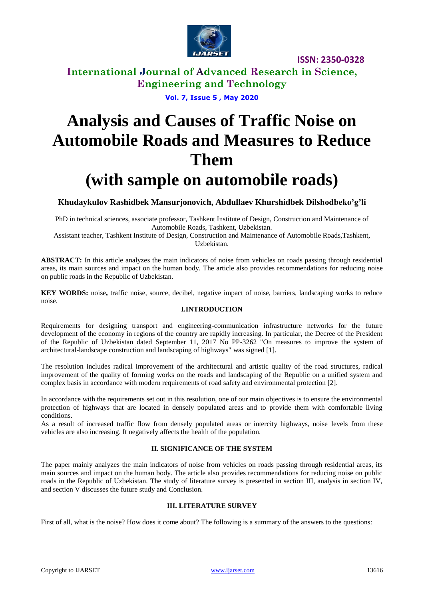

**ISSN: 2350-0328**

**International Journal of Advanced Research in Science, Engineering and Technology**

**Vol. 7, Issue 5 , May 2020**

# **Analysis and Causes of Traffic Noise on Automobile Roads and Measures to Reduce Them (with sample on automobile roads)**

**Khudaykulov Rashidbek Mansurjonovich, Abdullaev Khurshidbek Dilshodbeko'g'li**

PhD in technical sciences, associate professor, Tashkent Institute of Design, Construction and Maintenance of Automobile Roads, Tashkent, Uzbekistan.

Assistant teacher, Tashkent Institute of Design, Construction and Maintenance of Automobile Roads,Tashkent, Uzbekistan.

**ABSTRACT:** In this article analyzes the main indicators of noise from vehicles on roads passing through residential areas, its main sources and impact on the human body. The article also provides recommendations for reducing noise on public roads in the Republic of Uzbekistan.

**KEY WORDS:** noise**,** traffic noise, source, decibel, negative impact of noise, barriers, landscaping works to reduce noise.

### **I.INTRODUCTION**

Requirements for designing transport and engineering-communication infrastructure networks for the future development of the economy in regions of the country are rapidly increasing. In particular, the Decree of the President of the Republic of Uzbekistan dated September 11, 2017 No PP-3262 "On measures to improve the system of architectural-landscape construction and landscaping of highways" was signed [1].

The resolution includes radical improvement of the architectural and artistic quality of the road structures, radical improvement of the quality of forming works on the roads and landscaping of the Republic on a unified system and complex basis in accordance with modern requirements of road safety and environmental protection [2].

In accordance with the requirements set out in this resolution, one of our main objectives is to ensure the environmental protection of highways that are located in densely populated areas and to provide them with comfortable living conditions.

As a result of increased traffic flow from densely populated areas or intercity highways, noise levels from these vehicles are also increasing. It negatively affects the health of the population.

### **II. SIGNIFICANCE OF THE SYSTEM**

The paper mainly analyzes the main indicators of noise from vehicles on roads passing through residential areas, its main sources and impact on the human body. The article also provides recommendations for reducing noise on public roads in the Republic of Uzbekistan. The study of literature survey is presented in section III, analysis in section IV, and section V discusses the future study and Conclusion.

### **III. LITERATURE SURVEY**

First of all, what is the noise? How does it come about? The following is a summary of the answers to the questions: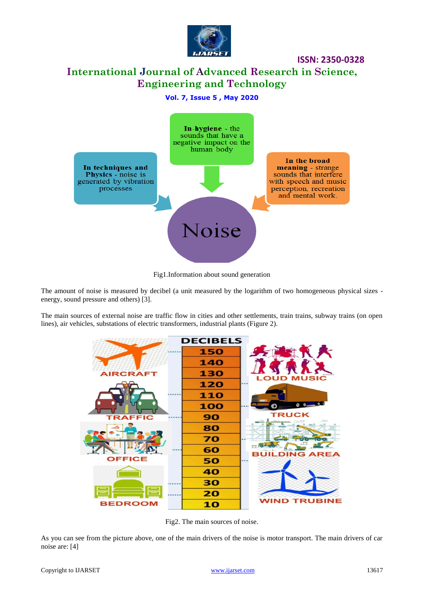

### **ISSN: 2350-0328**

# **International Journal of Advanced Research in Science, Engineering and Technology**

### **Vol. 7, Issue 5 , May 2020**



Fig1.Information about sound generation

The amount of noise is measured by decibel (a unit measured by the logarithm of two homogeneous physical sizes energy, sound pressure and others) [3].

The main sources of external noise are traffic flow in cities and other settlements, train trains, subway trains (on open lines), air vehicles, substations of electric transformers, industrial plants (Figure 2).



Fig2. The main sources of noise.

As you can see from the picture above, one of the main drivers of the noise is motor transport. The main drivers of car noise are: [4]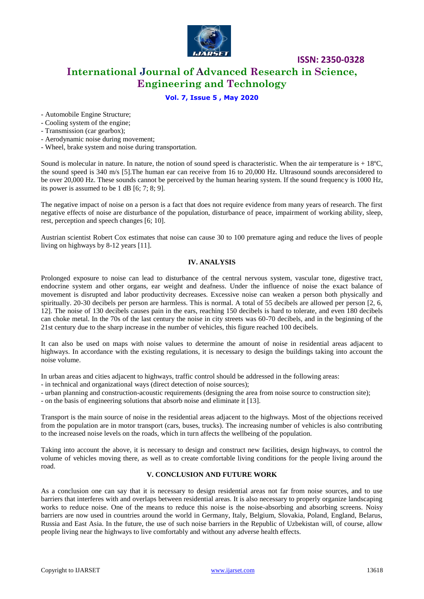

# **International Journal of Advanced Research in Science, Engineering and Technology**

**ISSN: 2350-0328**

### **Vol. 7, Issue 5 , May 2020**

- Automobile Engine Structure;
- Cooling system of the engine;
- Transmission (car gearbox);
- Aerodynamic noise during movement;
- Wheel, brake system and noise during transportation.

Sound is molecular in nature. In nature, the notion of sound speed is characteristic. When the air temperature is  $+18^{\circ}$ C, the sound speed is 340 m/s [5].The human ear can receive from 16 to 20,000 Hz. Ultrasound sounds areconsidered to be over 20,000 Hz. These sounds cannot be perceived by the human hearing system. If the sound frequency is 1000 Hz, its power is assumed to be 1 dB [6; 7; 8; 9].

The negative impact of noise on a person is a fact that does not require evidence from many years of research. The first negative effects of noise are disturbance of the population, disturbance of peace, impairment of working ability, sleep, rest, perception and speech changes [6; 10].

Austrian scientist Robert Cox estimates that noise can cause 30 to 100 premature aging and reduce the lives of people living on highways by 8-12 years [11].

#### **IV. ANALYSIS**

Prolonged exposure to noise can lead to disturbance of the central nervous system, vascular tone, digestive tract, endocrine system and other organs, ear weight and deafness. Under the influence of noise the exact balance of movement is disrupted and labor productivity decreases. Excessive noise can weaken a person both physically and spiritually. 20-30 decibels per person are harmless. This is normal. A total of 55 decibels are allowed per person [2, 6, 12]. The noise of 130 decibels causes pain in the ears, reaching 150 decibels is hard to tolerate, and even 180 decibels can choke metal. In the 70s of the last century the noise in city streets was 60-70 decibels, and in the beginning of the 21st century due to the sharp increase in the number of vehicles, this figure reached 100 decibels.

It can also be used on maps with noise values to determine the amount of noise in residential areas adjacent to highways. In accordance with the existing regulations, it is necessary to design the buildings taking into account the noise volume.

In urban areas and cities adjacent to highways, traffic control should be addressed in the following areas:

- in technical and organizational ways (direct detection of noise sources);
- urban planning and construction-acoustic requirements (designing the area from noise source to construction site);
- on the basis of engineering solutions that absorb noise and eliminate it [13].

Transport is the main source of noise in the residential areas adjacent to the highways. Most of the objections received from the population are in motor transport (cars, buses, trucks). The increasing number of vehicles is also contributing to the increased noise levels on the roads, which in turn affects the wellbeing of the population.

Taking into account the above, it is necessary to design and construct new facilities, design highways, to control the volume of vehicles moving there, as well as to create comfortable living conditions for the people living around the road.

### **V. CONCLUSION AND FUTURE WORK**

As a conclusion one can say that it is necessary to design residential areas not far from noise sources, and to use barriers that interferes with and overlaps between residential areas. It is also necessary to properly organize landscaping works to reduce noise. One of the means to reduce this noise is the noise-absorbing and absorbing screens. Noisy barriers are now used in countries around the world in Germany, Italy, Belgium, Slovakia, Poland, England, Belarus, Russia and East Asia. In the future, the use of such noise barriers in the Republic of Uzbekistan will, of course, allow people living near the highways to live comfortably and without any adverse health effects.